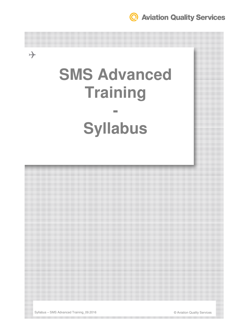<sup>©</sup> Aviation Quality Services

# **SMS Advanced Training -**

# **Syllabus**



the contract of the contract of the contract of the contract of the contract of the contract of the contract of

Syllabus – SMS Advanced Training\_09.2016 © Aviation Quality Services

 $\rightarrow$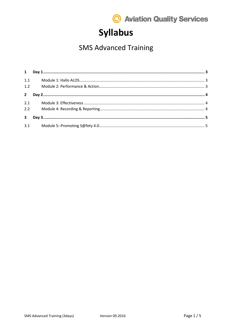

# **Syllabus**

### **SMS Advanced Training**

| $\mathbf{1}$            |  |  |
|-------------------------|--|--|
| 1.1                     |  |  |
| 1.2                     |  |  |
| $\overline{2}$          |  |  |
| 2.1                     |  |  |
| 2.2                     |  |  |
| $\overline{\mathbf{3}}$ |  |  |
|                         |  |  |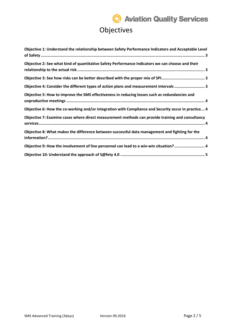# **Q** Aviation Quality Services Objectives

| Objective 1: Understand the relationship between Safety Performance Indicators and Acceptable Level |
|-----------------------------------------------------------------------------------------------------|
| Objective 2: See what kind of quantitative Safety Performance Indicators we can choose and their    |
|                                                                                                     |
| Objective 4: Consider the different types of action plans and measurement intervals 3               |
| Objective 5: How to improve the SMS effectiveness in reducing losses such as redundancies and       |
| Objective 6: How the co-working and/or integration with Compliance and Security occur in practice 4 |
| Objective 7: Examine cases where direct measurement methods can provide training and consultancy    |
| Objective 8: What makes the difference between successful data management and fighting for the      |
| Objective 9: How the involvement of line personnel can lead to a win-win situation? 4               |
|                                                                                                     |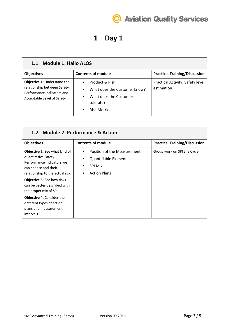

### **1 Day 1**

#### **1.1 Module 1: Hallo ALOS**

| <b>Objectives</b>                                                                                                      | <b>Contents of module</b>                                                                                                             | <b>Practical Training/Discussion</b>           |
|------------------------------------------------------------------------------------------------------------------------|---------------------------------------------------------------------------------------------------------------------------------------|------------------------------------------------|
| Objective 1: Understand the<br>relationship between Safety<br>Performance Indicators and<br>Acceptable Level of Safety | Product & Risk<br>What does the Customer know?<br>$\bullet$<br>What does the Customer<br>tolerate?<br><b>Risk Metric</b><br>$\bullet$ | Practical Activity: Safety level<br>estimation |

| 1.2 Module 2: Performance & Action                                                                                                                                                       |                                                                                                                                  |                                      |  |  |
|------------------------------------------------------------------------------------------------------------------------------------------------------------------------------------------|----------------------------------------------------------------------------------------------------------------------------------|--------------------------------------|--|--|
| <b>Objectives</b>                                                                                                                                                                        | <b>Contents of module</b>                                                                                                        | <b>Practical Training/Discussion</b> |  |  |
| <b>Objective 2:</b> See what kind of<br>quantitative Safety<br>Performance Indicators we<br>can choose and their<br>relationship to the actual risk<br><b>Objective 3:</b> See how risks | Position of the Measurement<br>$\bullet$<br><b>Quantifiable Elements</b><br>٠<br><b>SPI Mix</b><br>٠<br><b>Action Plans</b><br>٠ | Group work on SPI Life Cycle         |  |  |
| can be better described with<br>the proper mix of SPI<br><b>Objective 4: Consider the</b><br>different types of action<br>plans and measurement<br>intervals                             |                                                                                                                                  |                                      |  |  |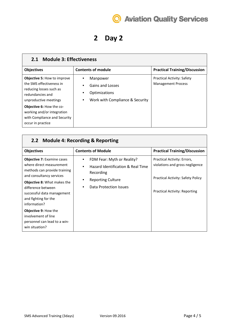

### **2 Day 2**

| 2.1 Module 3: Effectiveness                                                                                                            |                                                                                                      |                                                                |  |  |
|----------------------------------------------------------------------------------------------------------------------------------------|------------------------------------------------------------------------------------------------------|----------------------------------------------------------------|--|--|
| <b>Objectives</b>                                                                                                                      | <b>Contents of module</b>                                                                            | <b>Practical Training/Discussion</b>                           |  |  |
| <b>Objective 5: How to improve</b><br>the SMS effectiveness in<br>reducing losses such as<br>redundancies and<br>unproductive meetings | Manpower<br>٠<br>Gains and Losses<br>٠<br>Optimizations<br>٠<br>Work with Compliance & Security<br>٠ | <b>Practical Activity: Safety</b><br><b>Management Process</b> |  |  |
| <b>Objective 6: How the co-</b><br>working and/or integration<br>with Compliance and Security<br>occur in practice                     |                                                                                                      |                                                                |  |  |

| 2.2 Module 4: Recording & Reporting                                                                                                                                                                                                                         |                                                                                                                                                                        |                                                                                                                                             |  |  |
|-------------------------------------------------------------------------------------------------------------------------------------------------------------------------------------------------------------------------------------------------------------|------------------------------------------------------------------------------------------------------------------------------------------------------------------------|---------------------------------------------------------------------------------------------------------------------------------------------|--|--|
| <b>Objectives</b>                                                                                                                                                                                                                                           | <b>Contents of Module</b>                                                                                                                                              | <b>Practical Training/Discussion</b>                                                                                                        |  |  |
| <b>Objective 7: Examine cases</b><br>where direct measurement<br>methods can provide training<br>and consultancy services<br><b>Objective 8: What makes the</b><br>difference between<br>successful data management<br>and fighting for the<br>information? | FDM Fear: Myth or Reality?<br>$\bullet$<br>Hazard Identification & Real Time<br>٠<br>Recording<br><b>Reporting Culture</b><br>$\bullet$<br>Data Protection Issues<br>٠ | Practical Activity: Errors,<br>violations and gross negligence<br>Practical Activity: Safety Policy<br><b>Practical Activity: Reporting</b> |  |  |
| <b>Objective 9: How the</b><br>involvement of line<br>personnel can lead to a win-<br>win situation?                                                                                                                                                        |                                                                                                                                                                        |                                                                                                                                             |  |  |